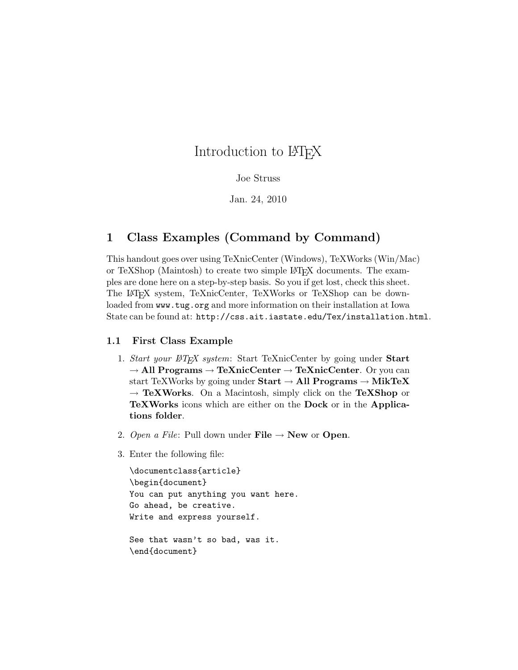# Introduction to L<sup>AT</sup>FX

#### Joe Struss

Jan. 24, 2010

## 1 Class Examples (Command by Command)

This handout goes over using TeXnicCenter (Windows), TeXWorks (Win/Mac) or TeXShop (Maintosh) to create two simple LAT<sub>EX</sub> documents. The examples are done here on a step-by-step basis. So you if get lost, check this sheet. The LATEX system, TeXnicCenter, TeXWorks or TeXShop can be downloaded from www.tug.org and more information on their installation at Iowa State can be found at: http://css.ait.iastate.edu/Tex/installation.html.

### 1.1 First Class Example

- 1. Start your LATEX system: Start TeXnicCenter by going under Start  $\rightarrow$  All Programs  $\rightarrow$  TeXnicCenter  $\rightarrow$  TeXnicCenter. Or you can start TeXWorks by going under  $Start \rightarrow All Programs \rightarrow MikTeX$  $\rightarrow$  TeXWorks. On a Macintosh, simply click on the TeXShop or TeXWorks icons which are either on the Dock or in the Applications folder.
- 2. Open a File: Pull down under File  $\rightarrow$  New or Open.
- 3. Enter the following file:

```
\documentclass{article}
\begin{document}
You can put anything you want here.
Go ahead, be creative.
Write and express yourself.
See that wasn't so bad, was it.
\end{document}
```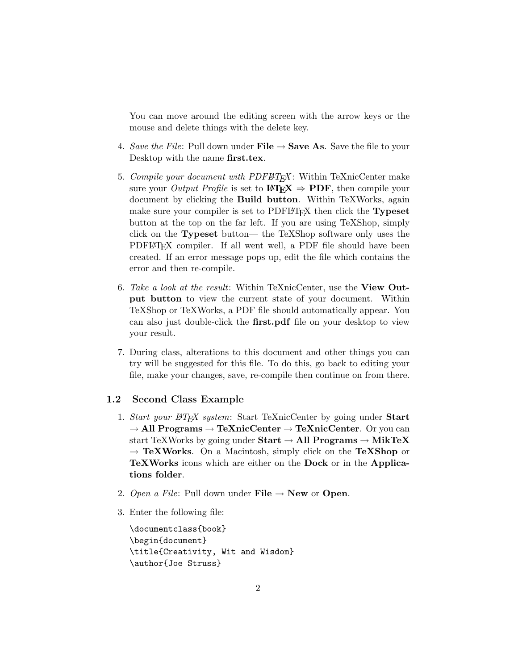You can move around the editing screen with the arrow keys or the mouse and delete things with the delete key.

- 4. Save the File: Pull down under File  $\rightarrow$  Save As. Save the file to your Desktop with the name first.tex.
- 5. Compile your document with PDFLATEX: Within TeXnicCenter make sure your *Output Profile* is set to  $\mathbf{H} \mathbf{F} \mathbf{X} \Rightarrow \mathbf{P} \mathbf{D} \mathbf{F}$ , then compile your document by clicking the Build button. Within TeXWorks, again make sure your compiler is set to PDFLAT<sub>EX</sub> then click the **Typeset** button at the top on the far left. If you are using TeXShop, simply click on the Typeset button— the TeXShop software only uses the PDFLAT<sub>EX</sub> compiler. If all went well, a PDF file should have been created. If an error message pops up, edit the file which contains the error and then re-compile.
- 6. Take a look at the result: Within TeXnicCenter, use the View Output button to view the current state of your document. Within TeXShop or TeXWorks, a PDF file should automatically appear. You can also just double-click the first.pdf file on your desktop to view your result.
- 7. During class, alterations to this document and other things you can try will be suggested for this file. To do this, go back to editing your file, make your changes, save, re-compile then continue on from there.

#### 1.2 Second Class Example

- 1. Start your  $\cancel{B}T_F X$  system: Start TeXnicCenter by going under Start  $\rightarrow$  All Programs  $\rightarrow$  TeXnicCenter  $\rightarrow$  TeXnicCenter. Or you can start TeXWorks by going under  $Start \rightarrow All Programs \rightarrow MikTeX$  $\rightarrow$  TeXWorks. On a Macintosh, simply click on the TeXShop or TeXWorks icons which are either on the Dock or in the Applications folder.
- 2. Open a File: Pull down under File  $\rightarrow$  New or Open.
- 3. Enter the following file:

\documentclass{book} \begin{document} \title{Creativity, Wit and Wisdom} \author{Joe Struss}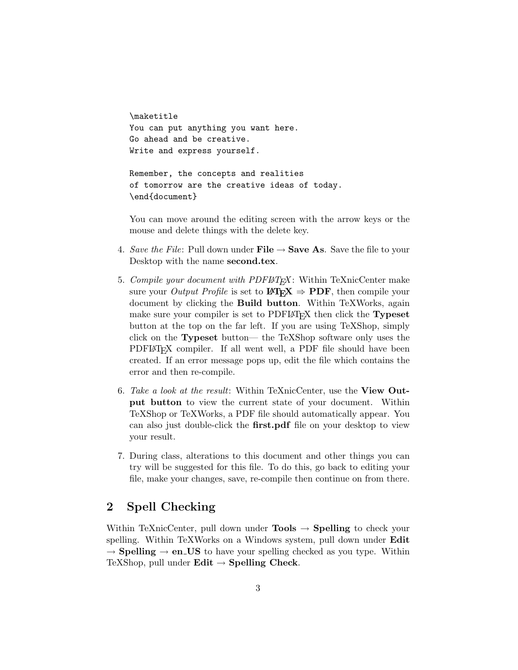\maketitle You can put anything you want here. Go ahead and be creative. Write and express yourself.

Remember, the concepts and realities of tomorrow are the creative ideas of today. \end{document}

You can move around the editing screen with the arrow keys or the mouse and delete things with the delete key.

- 4. Save the File: Pull down under File  $\rightarrow$  Save As. Save the file to your Desktop with the name second.tex.
- 5. Compile your document with PDFLATEX: Within TeXnicCenter make sure your *Output Profile* is set to  $\mathbf{P}\mathbf{F} \to \mathbf{P}\mathbf{D}\mathbf{F}$ , then compile your document by clicking the **Build button**. Within TeXWorks, again make sure your compiler is set to PDFLAT<sub>EX</sub> then click the **Typeset** button at the top on the far left. If you are using TeXShop, simply click on the Typeset button— the TeXShop software only uses the PDFLAT<sub>EX</sub> compiler. If all went well, a PDF file should have been created. If an error message pops up, edit the file which contains the error and then re-compile.
- 6. Take a look at the result: Within TeXnicCenter, use the View Output button to view the current state of your document. Within TeXShop or TeXWorks, a PDF file should automatically appear. You can also just double-click the first.pdf file on your desktop to view your result.
- 7. During class, alterations to this document and other things you can try will be suggested for this file. To do this, go back to editing your file, make your changes, save, re-compile then continue on from there.

## 2 Spell Checking

Within TeXnicCenter, pull down under **Tools**  $\rightarrow$  **Spelling** to check your spelling. Within TeXWorks on a Windows system, pull down under Edit  $\rightarrow$  Spelling  $\rightarrow$  en US to have your spelling checked as you type. Within TeXShop, pull under  $\text{Edit} \rightarrow \text{Spelling Check}.$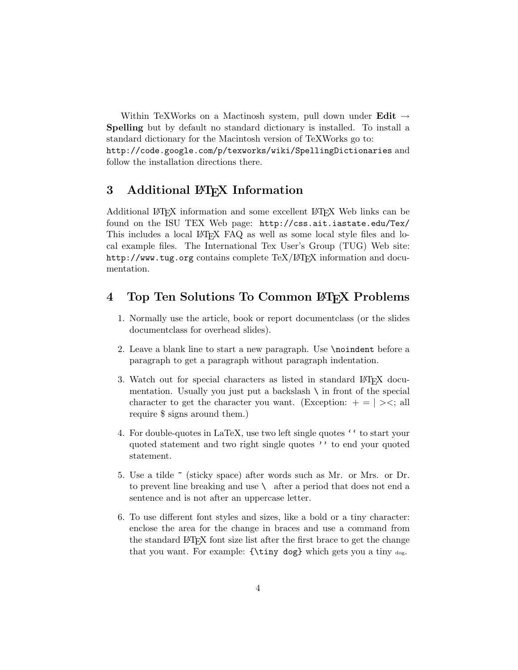Within TeXWorks on a Mactinosh system, pull down under **Edit**  $\rightarrow$ Spelling but by default no standard dictionary is installed. To install a standard dictionary for the Macintosh version of TeXWorks go to: http://code.google.com/p/texworks/wiki/SpellingDictionaries and follow the installation directions there.

## 3 Additional LAT<sub>EX</sub> Information

Additional LATEX information and some excellent LATEX Web links can be found on the ISU TEX Web page: http://css.ait.iastate.edu/Tex/ This includes a local LATEX FAQ as well as some local style files and local example files. The International Tex User's Group (TUG) Web site: http://www.tug.org contains complete TeX/LAT<sub>EX</sub> information and documentation.

## 4 Top Ten Solutions To Common LAT<sub>EX</sub> Problems

- 1. Normally use the article, book or report documentclass (or the slides documentclass for overhead slides).
- 2. Leave a blank line to start a new paragraph. Use \noindent before a paragraph to get a paragraph without paragraph indentation.
- 3. Watch out for special characters as listed in standard LAT<sub>EX</sub> documentation. Usually you just put a backslash  $\setminus$  in front of the special character to get the character you want. (Exception:  $+ = | \rangle$ , all require \$ signs around them.)
- 4. For double-quotes in LaTeX, use two left single quotes '' to start your quoted statement and two right single quotes '' to end your quoted statement.
- 5. Use a tilde ~ (sticky space) after words such as Mr. or Mrs. or Dr. to prevent line breaking and use  $\setminus$  after a period that does not end a sentence and is not after an uppercase letter.
- 6. To use different font styles and sizes, like a bold or a tiny character: enclose the area for the change in braces and use a command from the standard LATEX font size list after the first brace to get the change that you want. For example: {\tiny dog} which gets you a tiny dog.